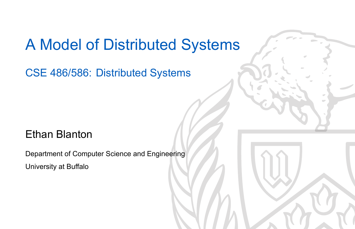## A Model of Distributed Systems

CSE 486/586: Distributed Systems

### Ethan Blanton

Department of Computer Science and Engineering University at Buffalo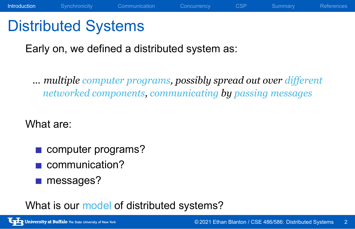## Distributed Systems

Early on, we defined a distributed system as:

*... multiple computer programs, possibly spread out over different networked components, communicating by passing messages*

Introduction Synchronicity Communication Concurrency CSP Summary References

What are:

- computer programs?
- communication?
- messages?

What is our model of distributed systems?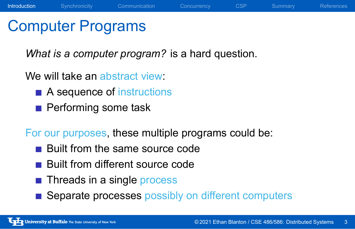## Computer Programs

*What is a computer program?* is a hard question.

Introduction Synchronicity Communication Concurrency CSP Summary References

We will take an abstract view:

- A sequence of instructions
- **Performing some task**

For our purposes, these multiple programs could be:

- **Built from the same source code**
- **Built from different source code**
- **Threads in a single process**
- Separate processes possibly on different computers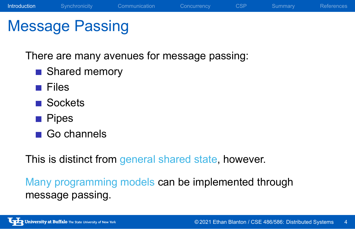## Message Passing

There are many avenues for message passing:

**Introduction** Synchronicity Communication Concurrency CSP Summary References

- Shared memory
- **Files**
- Sockets
- **Pipes**
- Go channels

This is distinct from general shared state, however.

Many programming models can be implemented through message passing.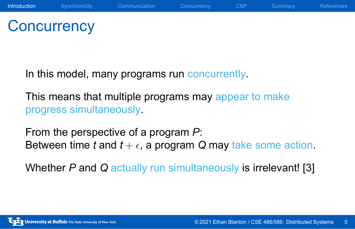## **Concurrency**

In this model, many programs run concurrently.

This means that multiple programs may appear to make progress simultaneously.

From the perspective of a program *P*: Between time *t* and  $t + \epsilon$ , a program Q may take some action.

Whether *P* and *Q* actually run simultaneously is irrelevant! [3]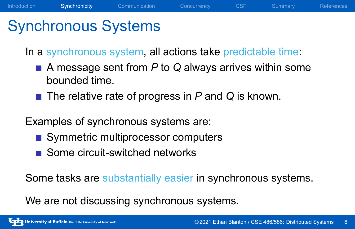## Synchronous Systems

In a synchronous system, all actions take predictable time:

■ A message sent from *P* to *Q* always arrives within some bounded time.

Introduction Synchronicity Communication Concurrency CSP Summary References

■ The relative rate of progress in *P* and *Q* is known.

Examples of synchronous systems are:

- Symmetric multiprocessor computers
- Some circuit-switched networks

Some tasks are substantially easier in synchronous systems.

We are not discussing synchronous systems.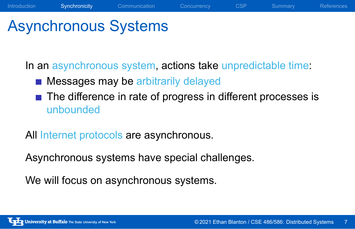## Asynchronous Systems

In an asynchronous system, actions take unpredictable time:

- **Messages may be arbitrarily delayed**
- The difference in rate of progress in different processes is unbounded

Introduction Synchronicity Communication Concurrency CSP Summary References

All Internet protocols are asynchronous.

Asynchronous systems have special challenges.

We will focus on asynchronous systems.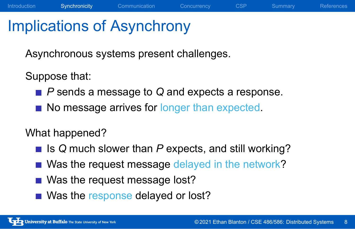## Implications of Asynchrony

Asynchronous systems present challenges.

Suppose that:

■ *P* sends a message to *Q* and expects a response.

Introduction Synchronicity Communication Concurrency CSP Summary References

No message arrives for longer than expected.

### What happened?

- Is Q much slower than *P* expects, and still working?
- Was the request message delayed in the network?
- Was the request message lost?
- Was the response delayed or lost?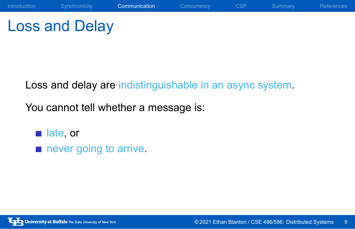# Loss and Delay

Loss and delay are indistinguishable in an async system.

You cannot tell whether a message is:

- late, or
- never going to arrive.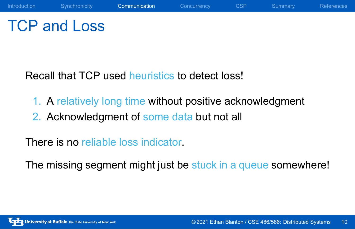TCP and Loss

Recall that TCP used heuristics to detect loss!

- 1. A relatively long time without positive acknowledgment
- 2. Acknowledgment of some data but not all

There is no reliable loss indicator.

The missing segment might just be stuck in a queue somewhere!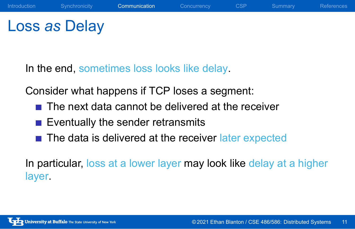# Loss *as* Delay

In the end, sometimes loss looks like delay.

Consider what happens if TCP loses a segment:

- $\blacksquare$  The next data cannot be delivered at the receiver
- Eventually the sender retransmits
- The data is delivered at the receiver later expected

In particular, loss at a lower layer may look like delay at a higher layer.

Introduction Synchronicity Communication Concurrency CSP Summary References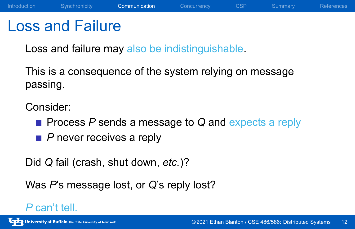## Loss and Failure

Loss and failure may also be indistinguishable.

This is a consequence of the system relying on message passing.

Consider:

**Process** *P* **sends a message to Q and expects a reply** 

Introduction Synchronicity Communication Concurrency CSP Summary References

**P** never receives a reply

Did *Q* fail (crash, shut down, *etc.*)?

Was *P*'s message lost, or *Q*'s reply lost?

*P* can't tell.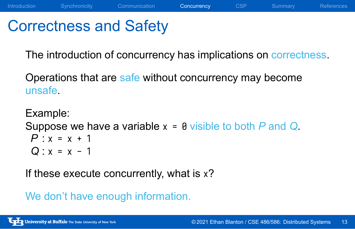## Correctness and Safety

The introduction of concurrency has implications on correctness.

Introduction Synchronicity Communication Concurrency CSP Summary References

Operations that are safe without concurrency may become unsafe.

```
Example:
Suppose we have a variable x = 0 visible to both P and Q.
P : x = x + 1
 Q : x = x - 1
```
If these execute concurrently, what is x?

We don't have enough information.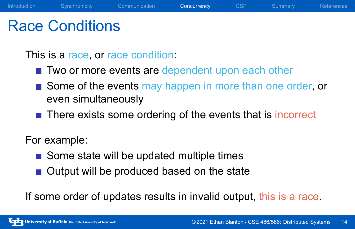## Race Conditions

This is a race, or race condition:

- Two or more events are dependent upon each other
- Some of the events may happen in more than one order, or even simultaneously
- There exists some ordering of the events that is incorrect

For example:

- Some state will be updated multiple times
- Output will be produced based on the state

If some order of updates results in invalid output, this is a race.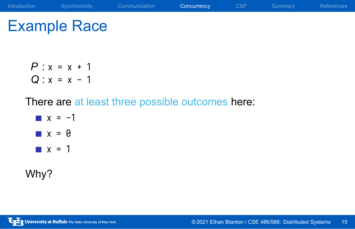# Example Race

*P* : x = x + 1 *Q* : x = x - 1

There are at least three possible outcomes here:

 $\blacksquare$   $x = -1$  $\blacksquare$  x =  $\theta$ 

 $\blacksquare$   $x = 1$ 

Why?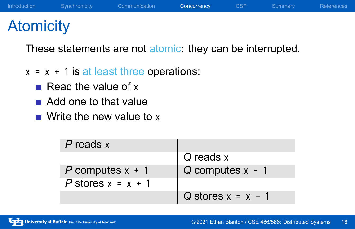# **Atomicity**

These statements are not atomic: they can be interrupted.

- $x = x + 1$  is at least three operations:
	- Read the value of  $x$
	- Add one to that value
	- $\blacksquare$  Write the new value to x

| P reads x            |                      |
|----------------------|----------------------|
|                      | Q reads x            |
| P computes $x + 1$   | $Q$ computes $x - 1$ |
| P stores $x = x + 1$ |                      |
|                      | Q stores $x = x - 1$ |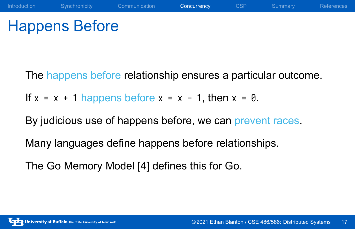# Happens Before

The happens before relationship ensures a particular outcome.

If  $x = x + 1$  happens before  $x = x - 1$ , then  $x = 0$ .

By judicious use of happens before, we can prevent races.

Many languages define happens before relationships.

The Go Memory Model [4] defines this for Go.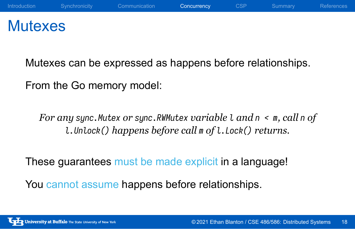## **Mutexes**

Mutexes can be expressed as happens before relationships.

From the Go memory model:

*For any sync.Mutex or sync.RWMutex variable l and n < m, call n of l.Unlock() happens before call m of l.Lock() returns.*

These guarantees must be made explicit in a language!

You cannot assume happens before relationships.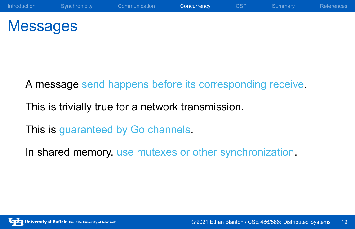## Messages

A message send happens before its corresponding receive.

This is trivially true for a network transmission.

This is guaranteed by Go channels.

In shared memory, use mutexes or other synchronization.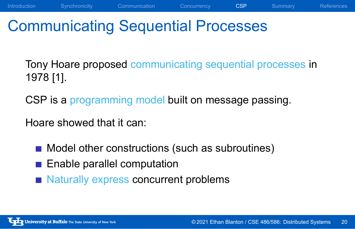## Communicating Sequential Processes

Tony Hoare proposed communicating sequential processes in 1978 [1].

Introduction Synchronicity Communication Concurrency CSP Summary References

CSP is a programming model built on message passing.

Hoare showed that it can:

- Model other constructions (such as subroutines)
- **Enable parallel computation**
- Naturally express concurrent problems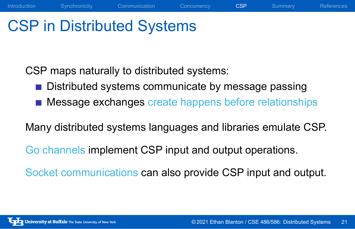# CSP in Distributed Systems

CSP maps naturally to distributed systems:

- **Distributed systems communicate by message passing**
- **Message exchanges create happens before relationships**

Introduction Synchronicity Communication Concurrency CSP Summary References

Many distributed systems languages and libraries emulate CSP.

Go channels implement CSP input and output operations.

Socket communications can also provide CSP input and output.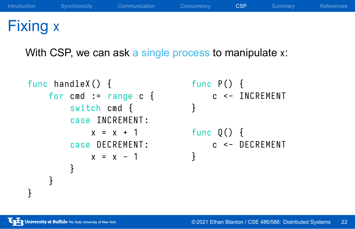# Fixing x

With CSP, we can ask a single process to manipulate x:

```
func handleX () {
    for cmd := range c {
        switch cmd {
        case INCREMENT :
            x = x + 1case DECREMENT :
            x = x - 1}
    }
}
                                func P() \{c <- INCREMENT
                                }
                                func Q() \{c <- DECREMENT
                                }
```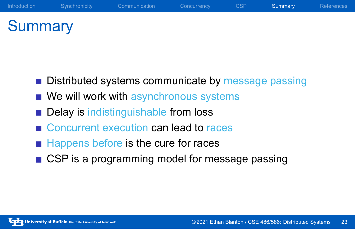# **Summary**

- **Distributed systems communicate by message passing**
- We will work with asynchronous systems
- Delay is indistinguishable from loss
- Concurrent execution can lead to races
- Happens before is the cure for races
- CSP is a programming model for message passing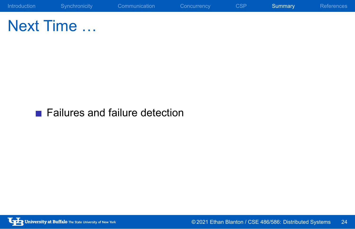Next Time …

Failures and failure detection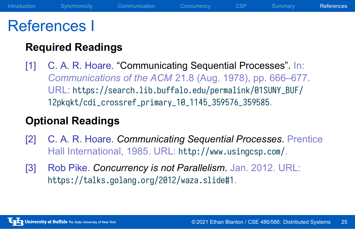## References I

### **Required Readings**

[1] C. A. R. Hoare. "Communicating Sequential Processes". In: *Communications of the ACM* 21.8 (Aug. 1978), pp. 666–677. URL: https://search.lib.buffalo.edu/permalink/01SUNY\_BUF/ 12pkqkt/cdi\_crossref\_primary\_10\_1145\_359576\_359585.

### **Optional Readings**

- [2] C. A. R. Hoare. *Communicating Sequential Processes*. Prentice Hall International, 1985. URL: http://www.usingcsp.com/.
- [3] Rob Pike. *Concurrency is not Parallelism*. Jan. 2012. URL: https://talks.golang.org/2012/waza.slide#1.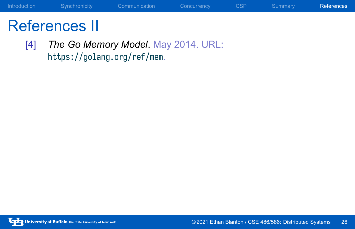## References II

[4] *The Go Memory Model*. May 2014. URL: https://golang.org/ref/mem.

Introduction Synchronicity Communication Concurrency CSP Summary References